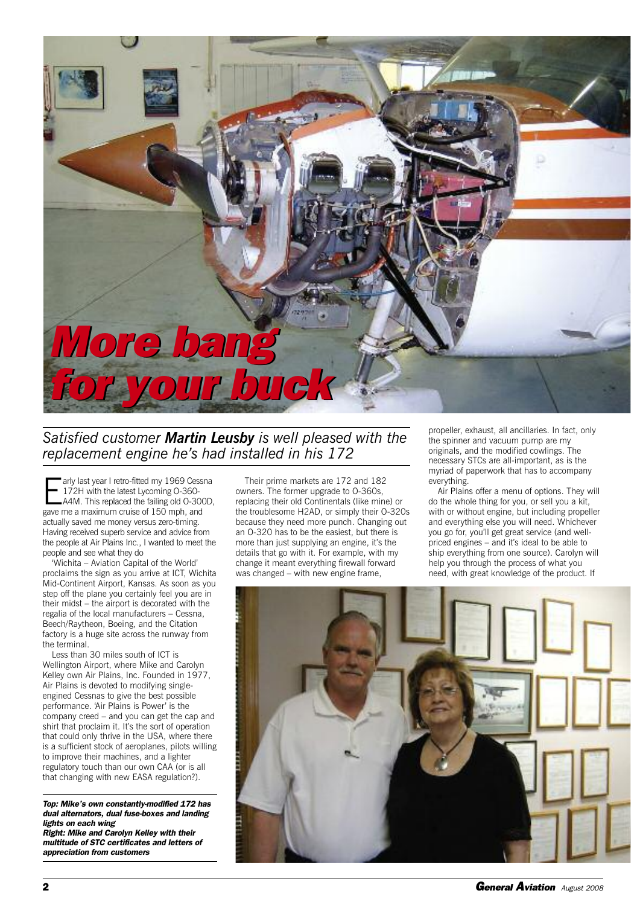

## *Satisfied customer Martin Leusby is well pleased with the replacement engine he's had installed in his 172*

arly last year I retro-fitted my 1969 Cess<br>172H with the latest Lycoming 0-360-<br>A4M. This replaced the failing old 0-30<br>gave me a maximum cruise of 150 mph, and arly last year I retro-fitted my 1969 Cessna 172H with the latest Lycoming O-360- A4M. This replaced the failing old O-300D, actually saved me money versus zero-timing. Having received superb service and advice from the people at Air Plains Inc., I wanted to meet the people and see what they do

'Wichita – Aviation Capital of the World' proclaims the sign as you arrive at ICT, Wichita Mid-Continent Airport, Kansas. As soon as you step off the plane you certainly feel you are in their midst – the airport is decorated with the regalia of the local manufacturers – Cessna, Beech/Raytheon, Boeing, and the Citation factory is a huge site across the runway from the terminal.

Less than 30 miles south of ICT is Wellington Airport, where Mike and Carolyn Kelley own Air Plains, Inc. Founded in 1977, Air Plains is devoted to modifying singleengined Cessnas to give the best possible performance. 'Air Plains is Power' is the company creed – and you can get the cap and shirt that proclaim it. It's the sort of operation that could only thrive in the USA, where there is a sufficient stock of aeroplanes, pilots willing to improve their machines, and a lighter regulatory touch than our own CAA (or is all that changing with new EASA regulation?).

*Top: Mike's own constantly-modified 172 has dual alternators, dual fuse-boxes and landing lights on each wing*

*Right: Mike and Carolyn Kelley with their multitude of STC certificates and letters of appreciation from customers*

Their prime markets are 172 and 182 owners. The former upgrade to O-360s, replacing their old Continentals (like mine) or the troublesome H2AD, or simply their O-320s because they need more punch. Changing out an O-320 has to be the easiest, but there is more than just supplying an engine, it's the details that go with it. For example, with my change it meant everything firewall forward was changed – with new engine frame,

propeller, exhaust, all ancillaries. In fact, only the spinner and vacuum pump are my originals, and the modified cowlings. The necessary STCs are all-important, as is the myriad of paperwork that has to accompany everything.

Air Plains offer a menu of options. They will do the whole thing for you, or sell you a kit, with or without engine, but including propeller and everything else you will need. Whichever you go for, you'll get great service (and wellpriced engines – and it's ideal to be able to ship everything from one source). Carolyn will help you through the process of what you need, with great knowledge of the product. If